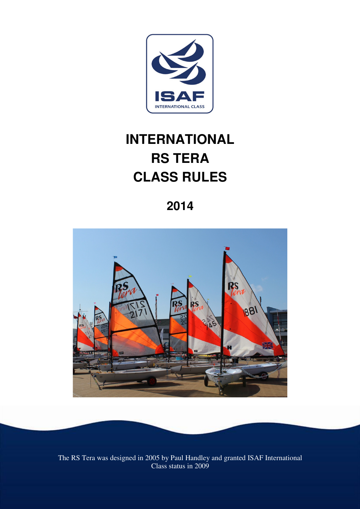

# **INTERNATIONAL RS TERA CLASS RULES**

**2014** 



The RS Tera was designed in 2005 by Paul Handley and granted ISAF International Class status in 2009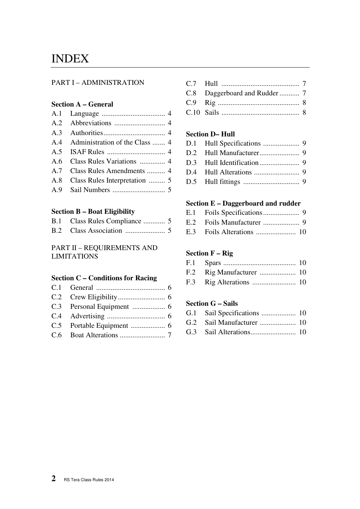## INDEX

#### PART I – ADMINISTRATION

#### **Section A – General**

| A.4 Administration of the Class  4 |
|------------------------------------|
|                                    |
| A.6 Class Rules Variations  4      |
| A.7 Class Rules Amendments  4      |
| A.8 Class Rules Interpretation  5  |
|                                    |

### **Section B – Boat Eligibility**

#### PART II – REQUIREMENTS AND LIMITATIONS

#### **Section C – Conditions for Racing**

C.7 Hull ........................................... 7 C.8 Daggerboard and Rudder ........... 7 C.9 Rig ............................................. 8 C.10 Sails ........................................... 8

#### **Section D– Hull**

#### **Section E – Daggerboard and rudder**

| $\Gamma$ 2 $\Gamma$ oile Alterations | $10^{-1}$ |
|--------------------------------------|-----------|

## E.3 Foils Alterations ...................... 10

#### **Section F – Rig**

#### **Section G – Sails**

G.3 Sail Alterations ......................... 10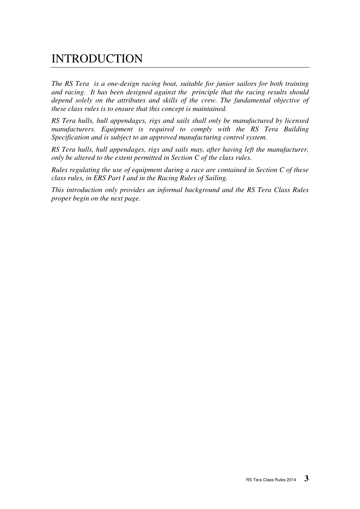## INTRODUCTION

*The RS Tera is a one-design racing boat, suitable for junior sailors for both training and racing. It has been designed against the principle that the racing results should depend solely on the attributes and skills of the crew. The fundamental objective of these class rules is to ensure that this concept is maintained.* 

*RS Tera hulls, hull appendages, rigs and sails shall only be manufactured by licensed manufacturers. Equipment is required to comply with the RS Tera Building Specification and is subject to an approved manufacturing control system.* 

*RS Tera hulls, hull appendages, rigs and sails may, after having left the manufacturer, only be altered to the extent permitted in Section C of the class rules.* 

*Rules regulating the use of equipment during a race are contained in Section C of these class rules, in ERS Part I and in the Racing Rules of Sailing.* 

*This introduction only provides an informal background and the RS Tera Class Rules proper begin on the next page.*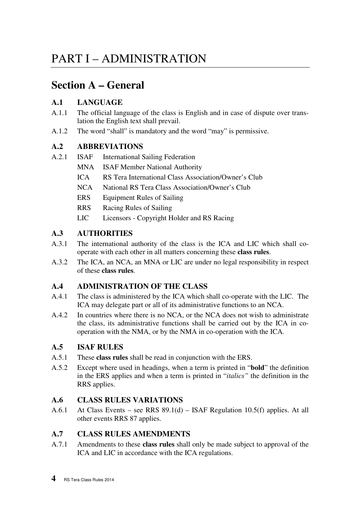## PART I – ADMINISTRATION

## **Section A – General**

## **A.1 LANGUAGE**

- A.1.1 The official language of the class is English and in case of dispute over translation the English text shall prevail.
- A.1.2 The word "shall" is mandatory and the word "may" is permissive.

## **A.2 ABBREVIATIONS**

- A.2.1 ISAF International Sailing Federation
	- MNA ISAF Member National Authority
	- ICA RS Tera International Class Association/Owner's Club
	- NCA National RS Tera Class Association/Owner's Club
	- ERS Equipment Rules of Sailing
	- RRS Racing Rules of Sailing
	- LIC Licensors Copyright Holder and RS Racing

## **A.3 AUTHORITIES**

- A.3.1 The international authority of the class is the ICA and LIC which shall cooperate with each other in all matters concerning these **class rules**.
- A.3.2 The ICA, an NCA, an MNA or LIC are under no legal responsibility in respect of these **class rules**.

## **A.4 ADMINISTRATION OF THE CLASS**

- A.4.1 The class is administered by the ICA which shall co-operate with the LIC. The ICA may delegate part or all of its administrative functions to an NCA.
- A.4.2 In countries where there is no NCA, or the NCA does not wish to administrate the class, its administrative functions shall be carried out by the ICA in cooperation with the NMA, or by the NMA in co-operation with the ICA.

## **A.5 ISAF RULES**

- A.5.1 These **class rules** shall be read in conjunction with the ERS.
- A.5.2 Except where used in headings, when a term is printed in "**bold**" the definition in the ERS applies and when a term is printed in "*italics"* the definition in the RRS applies.

## **A.6 CLASS RULES VARIATIONS**

A.6.1 At Class Events – see RRS 89.1(d) – ISAF Regulation 10.5(f) applies. At all other events RRS 87 applies.

## **A.7 CLASS RULES AMENDMENTS**

A.7.1 Amendments to these **class rules** shall only be made subject to approval of the ICA and LIC in accordance with the ICA regulations.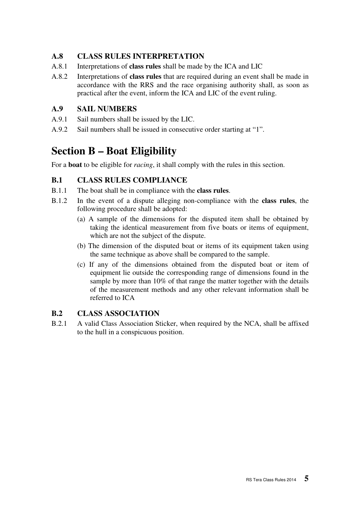## **A.8 CLASS RULES INTERPRETATION**

- A.8.1 Interpretations of **class rules** shall be made by the ICA and LIC
- A.8.2 Interpretations of **class rules** that are required during an event shall be made in accordance with the RRS and the race organising authority shall, as soon as practical after the event, inform the ICA and LIC of the event ruling.

## **A.9 SAIL NUMBERS**

- A.9.1 Sail numbers shall be issued by the LIC.
- A.9.2 Sail numbers shall be issued in consecutive order starting at "1".

## **Section B – Boat Eligibility**

For a **boat** to be eligible for *racing*, it shall comply with the rules in this section.

## **B.1 CLASS RULES COMPLIANCE**

- B.1.1 The boat shall be in compliance with the **class rules**.
- B.1.2 In the event of a dispute alleging non-compliance with the **class rules**, the following procedure shall be adopted:
	- (a) A sample of the dimensions for the disputed item shall be obtained by taking the identical measurement from five boats or items of equipment, which are not the subject of the dispute.
	- (b) The dimension of the disputed boat or items of its equipment taken using the same technique as above shall be compared to the sample.
	- (c) If any of the dimensions obtained from the disputed boat or item of equipment lie outside the corresponding range of dimensions found in the sample by more than 10% of that range the matter together with the details of the measurement methods and any other relevant information shall be referred to ICA

### **B.2 CLASS ASSOCIATION**

B.2.1 A valid Class Association Sticker, when required by the NCA, shall be affixed to the hull in a conspicuous position.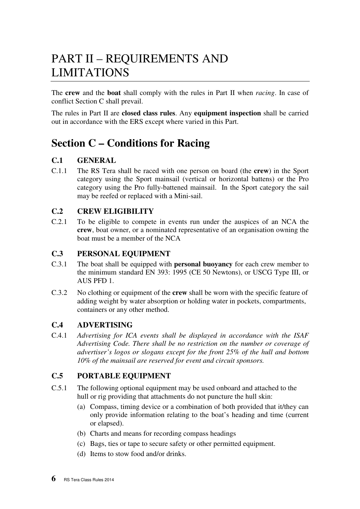## PART II – REQUIREMENTS AND LIMITATIONS

The **crew** and the **boat** shall comply with the rules in Part II when *racing*. In case of conflict Section C shall prevail.

The rules in Part II are **closed class rules**. Any **equipment inspection** shall be carried out in accordance with the ERS except where varied in this Part.

## **Section C – Conditions for Racing**

## **C.1 GENERAL**

C.1.1 The RS Tera shall be raced with one person on board (the **crew**) in the Sport category using the Sport mainsail (vertical or horizontal battens) or the Pro category using the Pro fully-battened mainsail. In the Sport category the sail may be reefed or replaced with a Mini-sail.

## **C.2 CREW ELIGIBILITY**

C.2.1 To be eligible to compete in events run under the auspices of an NCA the **crew**, boat owner, or a nominated representative of an organisation owning the boat must be a member of the NCA

### **C.3 PERSONAL EQUIPMENT**

- C.3.1 The boat shall be equipped with **personal buoyancy** for each crew member to the minimum standard EN 393: 1995 (CE 50 Newtons), or USCG Type III, or AUS PFD 1.
- C.3.2 No clothing or equipment of the **crew** shall be worn with the specific feature of adding weight by water absorption or holding water in pockets, compartments, containers or any other method.

### **C.4 ADVERTISING**

C.4.1 *Advertising for ICA events shall be displayed in accordance with the ISAF Advertising Code. There shall be no restriction on the number or coverage of advertiser's logos or slogans except for the front 25% of the hull and bottom 10% of the mainsail are reserved for event and circuit sponsors.*

### **C.5 PORTABLE EQUIPMENT**

- C.5.1 The following optional equipment may be used onboard and attached to the hull or rig providing that attachments do not puncture the hull skin:
	- (a) Compass, timing device or a combination of both provided that it/they can only provide information relating to the boat's heading and time (current or elapsed).
	- (b) Charts and means for recording compass headings
	- (c) Bags, ties or tape to secure safety or other permitted equipment.
	- (d) Items to stow food and/or drinks.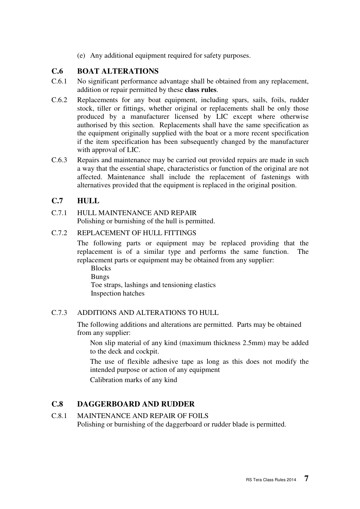(e) Any additional equipment required for safety purposes.

## **C.6 BOAT ALTERATIONS**

- C.6.1 No significant performance advantage shall be obtained from any replacement, addition or repair permitted by these **class rules**.
- C.6.2 Replacements for any boat equipment, including spars, sails, foils, rudder stock, tiller or fittings, whether original or replacements shall be only those produced by a manufacturer licensed by LIC except where otherwise authorised by this section. Replacements shall have the same specification as the equipment originally supplied with the boat or a more recent specification if the item specification has been subsequently changed by the manufacturer with approval of LIC.
- C.6.3 Repairs and maintenance may be carried out provided repairs are made in such a way that the essential shape, characteristics or function of the original are not affected. Maintenance shall include the replacement of fastenings with alternatives provided that the equipment is replaced in the original position.

### **C.7 HULL**

#### C.7.1 HULL MAINTENANCE AND REPAIR Polishing or burnishing of the hull is permitted.

#### C.7.2 REPLACEMENT OF HULL FITTINGS

 The following parts or equipment may be replaced providing that the replacement is of a similar type and performs the same function. The replacement parts or equipment may be obtained from any supplier:

 Blocks Bungs Toe straps, lashings and tensioning elastics Inspection hatches

#### C.7.3 ADDITIONS AND ALTERATIONS TO HULL

 The following additions and alterations are permitted. Parts may be obtained from any supplier:

 Non slip material of any kind (maximum thickness 2.5mm) may be added to the deck and cockpit.

 The use of flexible adhesive tape as long as this does not modify the intended purpose or action of any equipment

Calibration marks of any kind

### **C.8 DAGGERBOARD AND RUDDER**

#### C.8.1 MAINTENANCE AND REPAIR OF FOILS Polishing or burnishing of the daggerboard or rudder blade is permitted.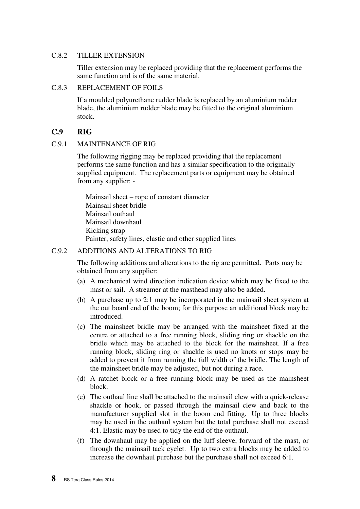#### C.8.2 TILLER EXTENSION

 Tiller extension may be replaced providing that the replacement performs the same function and is of the same material.

#### C.8.3 REPLACEMENT OF FOILS

 If a moulded polyurethane rudder blade is replaced by an aluminium rudder blade, the aluminium rudder blade may be fitted to the original aluminium stock.

#### **C.9 RIG**

#### C.9.1 MAINTENANCE OF RIG

 The following rigging may be replaced providing that the replacement performs the same function and has a similar specification to the originally supplied equipment. The replacement parts or equipment may be obtained from any supplier: -

Mainsail sheet – rope of constant diameter Mainsail sheet bridle Mainsail outhaul Mainsail downhaul Kicking strap Painter, safety lines, elastic and other supplied lines

#### C.9.2 ADDITIONS AND ALTERATIONS TO RIG

 The following additions and alterations to the rig are permitted. Parts may be obtained from any supplier:

- (a) A mechanical wind direction indication device which may be fixed to the mast or sail. A streamer at the masthead may also be added.
- (b) A purchase up to 2:1 may be incorporated in the mainsail sheet system at the out board end of the boom; for this purpose an additional block may be introduced.
- (c) The mainsheet bridle may be arranged with the mainsheet fixed at the centre or attached to a free running block, sliding ring or shackle on the bridle which may be attached to the block for the mainsheet. If a free running block, sliding ring or shackle is used no knots or stops may be added to prevent it from running the full width of the bridle. The length of the mainsheet bridle may be adjusted, but not during a race.
- (d) A ratchet block or a free running block may be used as the mainsheet block.
- (e) The outhaul line shall be attached to the mainsail clew with a quick-release shackle or hook, or passed through the mainsail clew and back to the manufacturer supplied slot in the boom end fitting. Up to three blocks may be used in the outhaul system but the total purchase shall not exceed 4:1. Elastic may be used to tidy the end of the outhaul.
- (f) The downhaul may be applied on the luff sleeve, forward of the mast, or through the mainsail tack eyelet. Up to two extra blocks may be added to increase the downhaul purchase but the purchase shall not exceed 6:1.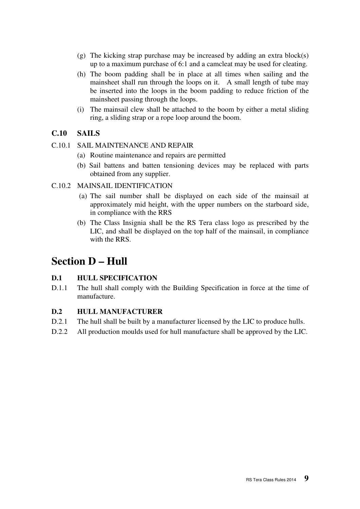- (g) The kicking strap purchase may be increased by adding an extra block(s) up to a maximum purchase of 6:1 and a camcleat may be used for cleating.
- (h) The boom padding shall be in place at all times when sailing and the mainsheet shall run through the loops on it. A small length of tube may be inserted into the loops in the boom padding to reduce friction of the mainsheet passing through the loops.
- (i) The mainsail clew shall be attached to the boom by either a metal sliding ring, a sliding strap or a rope loop around the boom.

#### **C.10 SAILS**

- C.10.1 SAIL MAINTENANCE AND REPAIR
	- (a) Routine maintenance and repairs are permitted
	- (b) Sail battens and batten tensioning devices may be replaced with parts obtained from any supplier.

#### C.10.2 MAINSAIL IDENTIFICATION

- (a) The sail number shall be displayed on each side of the mainsail at approximately mid height, with the upper numbers on the starboard side, in compliance with the RRS
- (b) The Class Insignia shall be the RS Tera class logo as prescribed by the LIC, and shall be displayed on the top half of the mainsail, in compliance with the RRS.

## **Section D – Hull**

#### **D.1 HULL SPECIFICATION**

D.1.1 The hull shall comply with the Building Specification in force at the time of manufacture.

#### **D.2 HULL MANUFACTURER**

- D.2.1 The hull shall be built by a manufacturer licensed by the LIC to produce hulls.
- D.2.2 All production moulds used for hull manufacture shall be approved by the LIC.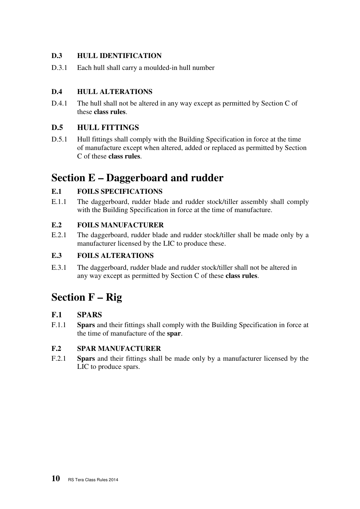## **D.3 HULL IDENTIFICATION**

D.3.1 Each hull shall carry a moulded-in hull number

## **D.4 HULL ALTERATIONS**

D.4.1 The hull shall not be altered in any way except as permitted by Section C of these **class rules**.

## **D.5 HULL FITTINGS**

D.5.1 Hull fittings shall comply with the Building Specification in force at the time of manufacture except when altered, added or replaced as permitted by Section C of these **class rules**.

## **Section E – Daggerboard and rudder**

## **E.1 FOILS SPECIFICATIONS**

E.1.1 The daggerboard, rudder blade and rudder stock/tiller assembly shall comply with the Building Specification in force at the time of manufacture.

#### **E.2 FOILS MANUFACTURER**

E.2.1 The daggerboard, rudder blade and rudder stock/tiller shall be made only by a manufacturer licensed by the LIC to produce these.

## **E.3 FOILS ALTERATIONS**

E.3.1 The daggerboard, rudder blade and rudder stock/tiller shall not be altered in any way except as permitted by Section C of these **class rules**.

## **Section F – Rig**

### **F.1 SPARS**

F.1.1 **Spars** and their fittings shall comply with the Building Specification in force at the time of manufacture of the **spar**.

### **F.2 SPAR MANUFACTURER**

F.2.1 **Spars** and their fittings shall be made only by a manufacturer licensed by the LIC to produce spars.